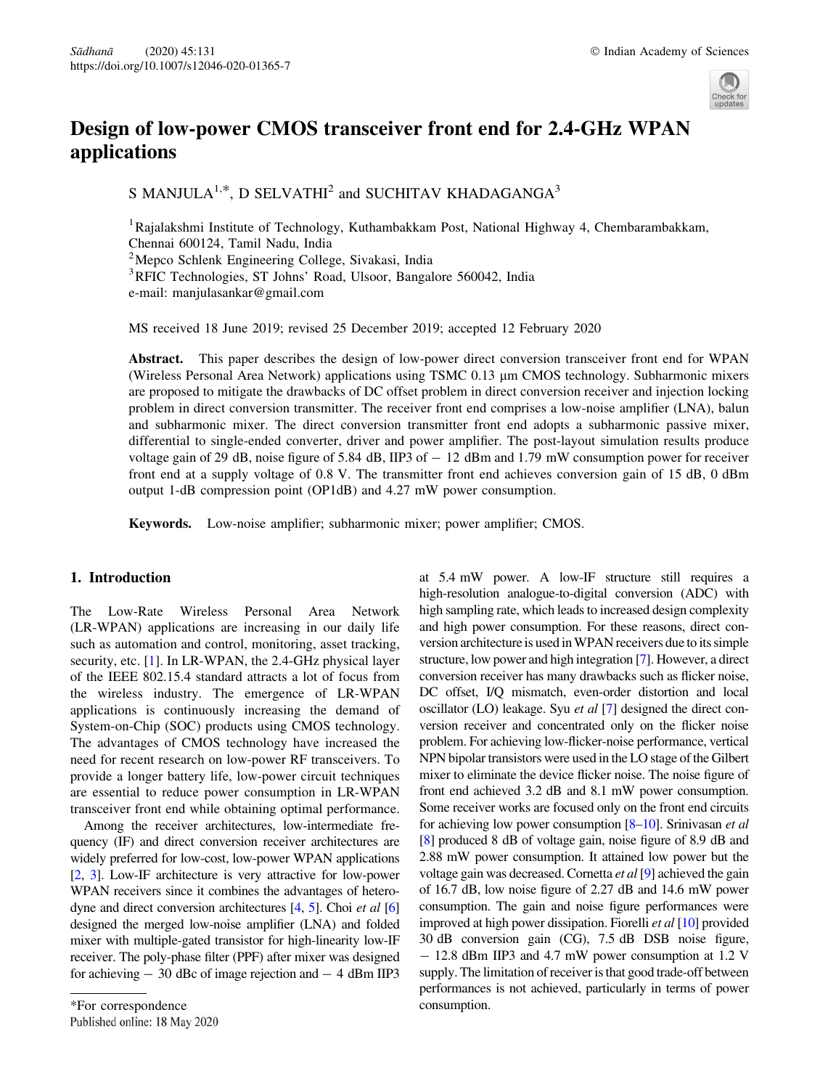

# Design of low-power CMOS transceiver front end for 2.4-GHz WPAN applications

S MANJULA<sup>1,\*</sup>, D SELVATHI<sup>2</sup> and SUCHITAV KHADAGANGA<sup>3</sup>

<sup>1</sup> Rajalakshmi Institute of Technology, Kuthambakkam Post, National Highway 4, Chembarambakkam, Chennai 600124, Tamil Nadu, India

2 Mepco Schlenk Engineering College, Sivakasi, India

<sup>3</sup>RFIC Technologies, ST Johns' Road, Ulsoor, Bangalore 560042, India

e-mail: manjulasankar@gmail.com

MS received 18 June 2019; revised 25 December 2019; accepted 12 February 2020

Abstract. This paper describes the design of low-power direct conversion transceiver front end for WPAN (Wireless Personal Area Network) applications using TSMC 0.13 lm CMOS technology. Subharmonic mixers are proposed to mitigate the drawbacks of DC offset problem in direct conversion receiver and injection locking problem in direct conversion transmitter. The receiver front end comprises a low-noise amplifier (LNA), balun and subharmonic mixer. The direct conversion transmitter front end adopts a subharmonic passive mixer, differential to single-ended converter, driver and power amplifier. The post-layout simulation results produce voltage gain of 29 dB, noise figure of 5.84 dB, IIP3 of  $-12$  dBm and 1.79 mW consumption power for receiver front end at a supply voltage of 0.8 V. The transmitter front end achieves conversion gain of 15 dB, 0 dBm output 1-dB compression point (OP1dB) and 4.27 mW power consumption.

Keywords. Low-noise amplifier; subharmonic mixer; power amplifier; CMOS.

# 1. Introduction

The Low-Rate Wireless Personal Area Network (LR-WPAN) applications are increasing in our daily life such as automation and control, monitoring, asset tracking, security, etc. [1]. In LR-WPAN, the 2.4-GHz physical layer of the IEEE 802.15.4 standard attracts a lot of focus from the wireless industry. The emergence of LR-WPAN applications is continuously increasing the demand of System-on-Chip (SOC) products using CMOS technology. The advantages of CMOS technology have increased the need for recent research on low-power RF transceivers. To provide a longer battery life, low-power circuit techniques are essential to reduce power consumption in LR-WPAN transceiver front end while obtaining optimal performance.

Among the receiver architectures, low-intermediate frequency (IF) and direct conversion receiver architectures are widely preferred for low-cost, low-power WPAN applications [2, 3]. Low-IF architecture is very attractive for low-power WPAN receivers since it combines the advantages of heterodyne and direct conversion architectures [4, 5]. Choi et al [6] designed the merged low-noise amplifier (LNA) and folded mixer with multiple-gated transistor for high-linearity low-IF receiver. The poly-phase filter (PPF) after mixer was designed for achieving  $-30$  dBc of image rejection and  $-4$  dBm IIP3 high sampling rate, which leads to increased design complexity and high power consumption. For these reasons, direct conversion architecture is used inWPAN receivers due to its simple structure, low power and high integration [7]. However, a direct conversion receiver has many drawbacks such as flicker noise, DC offset, I/Q mismatch, even-order distortion and local oscillator (LO) leakage. Syu et al [7] designed the direct conversion receiver and concentrated only on the flicker noise problem. For achieving low-flicker-noise performance, vertical NPN bipolar transistors were used in the LO stage of the Gilbert mixer to eliminate the device flicker noise. The noise figure of front end achieved 3.2 dB and 8.1 mW power consumption. Some receiver works are focused only on the front end circuits for achieving low power consumption [8–10]. Srinivasan et al [8] produced 8 dB of voltage gain, noise figure of 8.9 dB and 2.88 mW power consumption. It attained low power but the voltage gain was decreased. Cornetta et al [9] achieved the gain of 16.7 dB, low noise figure of 2.27 dB and 14.6 mW power consumption. The gain and noise figure performances were improved at high power dissipation. Fiorelli et al [10] provided 30 dB conversion gain (CG), 7.5 dB DSB noise figure, - 12.8 dBm IIP3 and 4.7 mW power consumption at 1.2 V supply. The limitation of receiver is that good trade-off between performances is not achieved, particularly in terms of power

at 5.4 mW power. A low-IF structure still requires a high-resolution analogue-to-digital conversion (ADC) with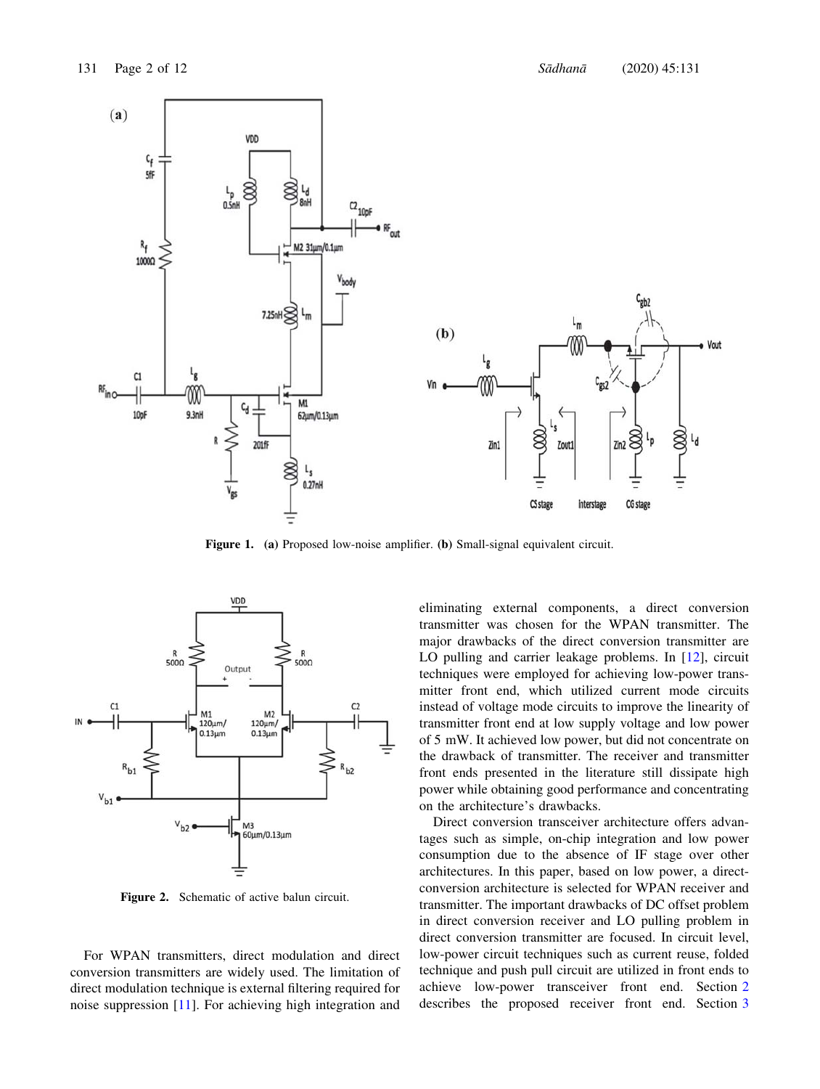

Figure 1. (a) Proposed low-noise amplifier. (b) Small-signal equivalent circuit.



Figure 2. Schematic of active balun circuit.

For WPAN transmitters, direct modulation and direct conversion transmitters are widely used. The limitation of direct modulation technique is external filtering required for noise suppression [11]. For achieving high integration and eliminating external components, a direct conversion transmitter was chosen for the WPAN transmitter. The major drawbacks of the direct conversion transmitter are LO pulling and carrier leakage problems. In [12], circuit techniques were employed for achieving low-power transmitter front end, which utilized current mode circuits instead of voltage mode circuits to improve the linearity of transmitter front end at low supply voltage and low power of 5 mW. It achieved low power, but did not concentrate on the drawback of transmitter. The receiver and transmitter front ends presented in the literature still dissipate high power while obtaining good performance and concentrating on the architecture's drawbacks.

Direct conversion transceiver architecture offers advantages such as simple, on-chip integration and low power consumption due to the absence of IF stage over other architectures. In this paper, based on low power, a directconversion architecture is selected for WPAN receiver and transmitter. The important drawbacks of DC offset problem in direct conversion receiver and LO pulling problem in direct conversion transmitter are focused. In circuit level, low-power circuit techniques such as current reuse, folded technique and push pull circuit are utilized in front ends to achieve low-power transceiver front end. Section 2 describes the proposed receiver front end. Section 3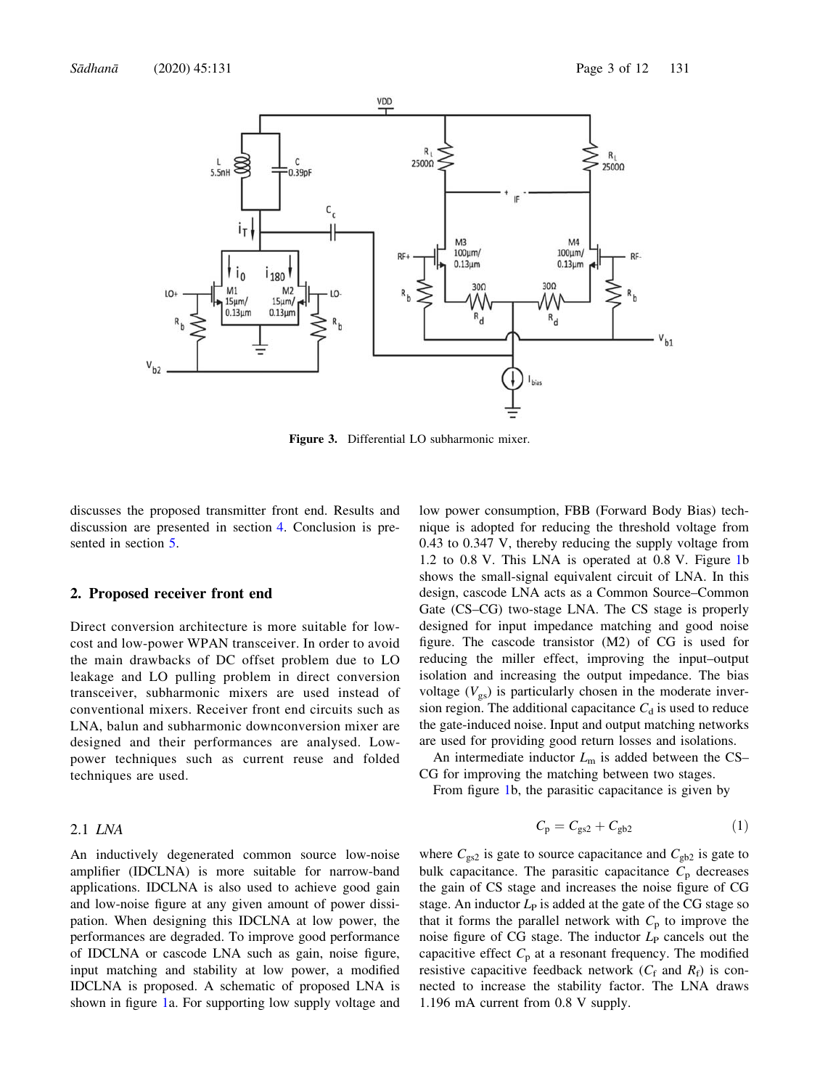

Figure 3. Differential LO subharmonic mixer.

discusses the proposed transmitter front end. Results and discussion are presented in section 4. Conclusion is presented in section 5.

#### 2. Proposed receiver front end

Direct conversion architecture is more suitable for lowcost and low-power WPAN transceiver. In order to avoid the main drawbacks of DC offset problem due to LO leakage and LO pulling problem in direct conversion transceiver, subharmonic mixers are used instead of conventional mixers. Receiver front end circuits such as LNA, balun and subharmonic downconversion mixer are designed and their performances are analysed. Lowpower techniques such as current reuse and folded techniques are used.

#### 2.1 LNA

An inductively degenerated common source low-noise amplifier (IDCLNA) is more suitable for narrow-band applications. IDCLNA is also used to achieve good gain and low-noise figure at any given amount of power dissipation. When designing this IDCLNA at low power, the performances are degraded. To improve good performance of IDCLNA or cascode LNA such as gain, noise figure, input matching and stability at low power, a modified IDCLNA is proposed. A schematic of proposed LNA is shown in figure 1a. For supporting low supply voltage and low power consumption, FBB (Forward Body Bias) technique is adopted for reducing the threshold voltage from 0.43 to 0.347 V, thereby reducing the supply voltage from 1.2 to 0.8 V. This LNA is operated at 0.8 V. Figure 1b shows the small-signal equivalent circuit of LNA. In this design, cascode LNA acts as a Common Source–Common Gate (CS–CG) two-stage LNA. The CS stage is properly designed for input impedance matching and good noise figure. The cascode transistor (M2) of CG is used for reducing the miller effect, improving the input–output isolation and increasing the output impedance. The bias voltage  $(V_{gs})$  is particularly chosen in the moderate inversion region. The additional capacitance  $C_d$  is used to reduce the gate-induced noise. Input and output matching networks are used for providing good return losses and isolations.

An intermediate inductor  $L<sub>m</sub>$  is added between the CS– CG for improving the matching between two stages.

From figure 1b, the parasitic capacitance is given by

$$
C_{\rm p} = C_{\rm gs2} + C_{\rm gb2} \tag{1}
$$

where  $C_{gs2}$  is gate to source capacitance and  $C_{gb2}$  is gate to bulk capacitance. The parasitic capacitance  $C_p$  decreases the gain of CS stage and increases the noise figure of CG stage. An inductor  $L_p$  is added at the gate of the CG stage so that it forms the parallel network with  $C_p$  to improve the noise figure of CG stage. The inductor  $L<sub>P</sub>$  cancels out the capacitive effect  $C_p$  at a resonant frequency. The modified resistive capacitive feedback network  $(C_f$  and  $R_f$ ) is connected to increase the stability factor. The LNA draws 1.196 mA current from 0.8 V supply.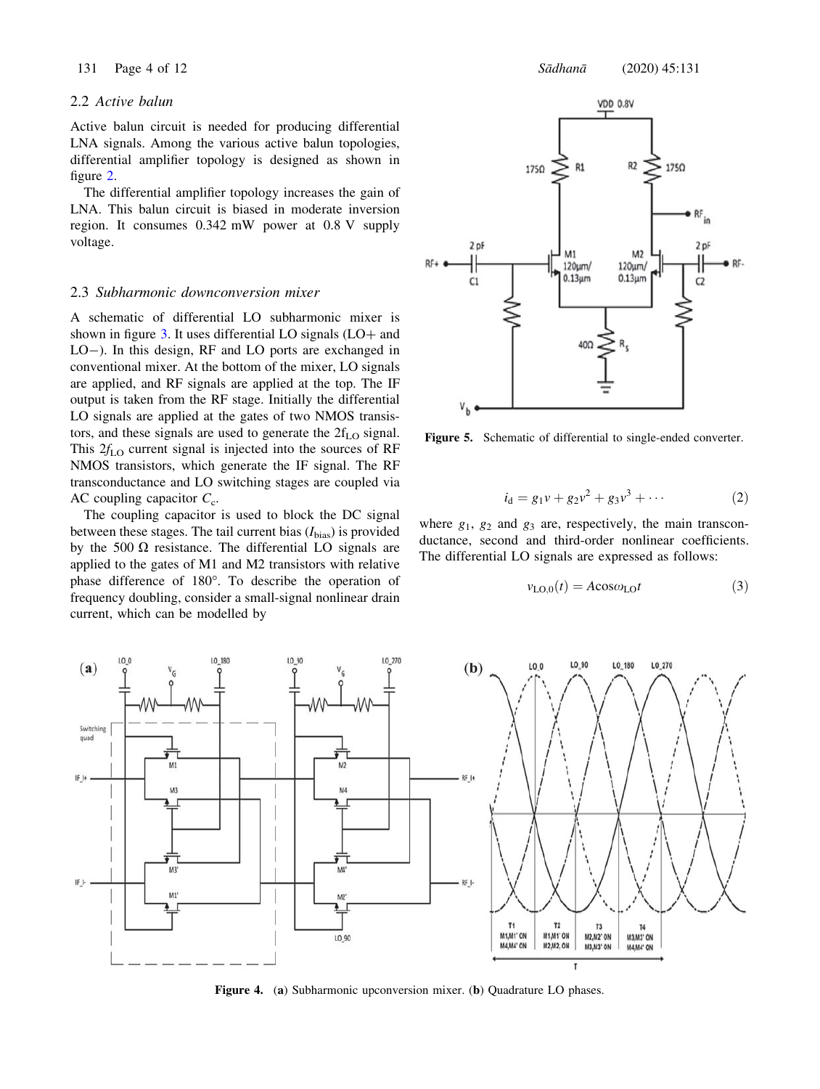# 2.2 Active balun

Active balun circuit is needed for producing differential LNA signals. Among the various active balun topologies, differential amplifier topology is designed as shown in figure 2.

The differential amplifier topology increases the gain of LNA. This balun circuit is biased in moderate inversion region. It consumes 0.342 mW power at 0.8 V supply voltage.

# 2.3 Subharmonic downconversion mixer

A schematic of differential LO subharmonic mixer is shown in figure  $3$ . It uses differential LO signals (LO+ and LO-). In this design, RF and LO ports are exchanged in conventional mixer. At the bottom of the mixer, LO signals are applied, and RF signals are applied at the top. The IF output is taken from the RF stage. Initially the differential LO signals are applied at the gates of two NMOS transistors, and these signals are used to generate the  $2f<sub>LO</sub>$  signal. This  $2f_{\text{LO}}$  current signal is injected into the sources of RF NMOS transistors, which generate the IF signal. The RF transconductance and LO switching stages are coupled via AC coupling capacitor  $C_c$ .

The coupling capacitor is used to block the DC signal between these stages. The tail current bias  $(I_{bias})$  is provided by the 500  $\Omega$  resistance. The differential LO signals are applied to the gates of M1 and M2 transistors with relative phase difference of 180°. To describe the operation of frequency doubling, consider a small-signal nonlinear drain current, which can be modelled by



Figure 5. Schematic of differential to single-ended converter.

$$
i_{d} = g_1 v + g_2 v^2 + g_3 v^3 + \cdots
$$
 (2)

where  $g_1$ ,  $g_2$  and  $g_3$  are, respectively, the main transconductance, second and third-order nonlinear coefficients. The differential LO signals are expressed as follows:

$$
v_{\text{LO},0}(t) = A\cos\omega_{\text{LO}}t\tag{3}
$$



Figure 4. (a) Subharmonic upconversion mixer. (b) Quadrature LO phases.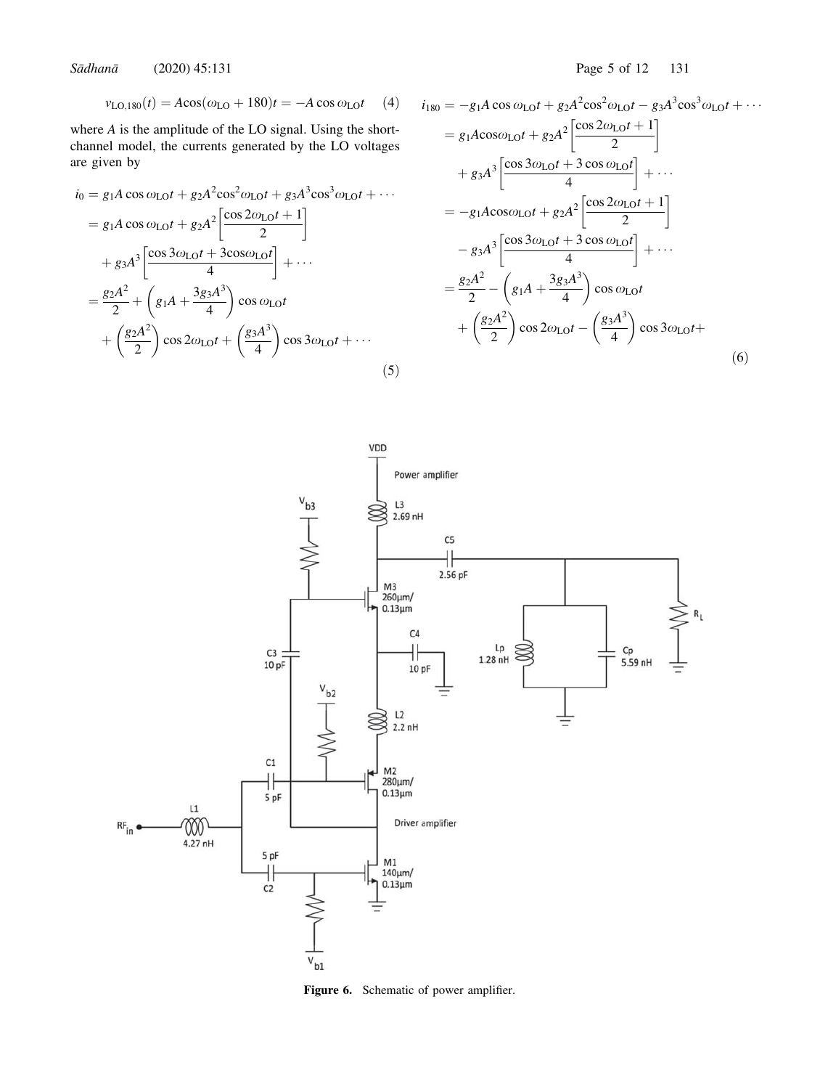Sädhanä (2020) 45:131 Page 5 of 12 131

$$
v_{\text{LO},180}(t) = A\cos(\omega_{\text{LO}} + 180)t = -A\cos\omega_{\text{LO}}t
$$
 (4)

where A is the amplitude of the LO signal. Using the shortchannel model, the currents generated by the LO voltages are given by

$$
i_0 = g_1 A \cos \omega_{LO} t + g_2 A^2 \cos^2 \omega_{LO} t + g_3 A^3 \cos^3 \omega_{LO} t + \cdots
$$
  
\n
$$
= g_1 A \cos \omega_{LO} t + g_2 A^2 \left[ \frac{\cos 2\omega_{LO} t + 1}{2} \right]
$$
  
\n
$$
+ g_3 A^3 \left[ \frac{\cos 3\omega_{LO} t + 3\cos \omega_{LO} t}{4} \right] + \cdots
$$
  
\n
$$
= \frac{g_2 A^2}{2} + \left( g_1 A + \frac{3 g_3 A^3}{4} \right) \cos \omega_{LO} t + \left( \frac{g_2 A^2}{2} \right) \cos 2\omega_{LO} t + \left( \frac{g_3 A^3}{4} \right) \cos 3\omega_{LO} t + \cdots
$$
  
\n(5)

$$
i_{180} = -g_1 A \cos \omega_{\text{LO}}t + g_2 A^2 \cos^2 \omega_{\text{LO}}t - g_3 A^3 \cos^3 \omega_{\text{LO}}t + \cdots
$$
  
\n
$$
= g_1 A \cos \omega_{\text{LO}}t + g_2 A^2 \left[ \frac{\cos 2\omega_{\text{LO}}t + 1}{2} \right]
$$
  
\n
$$
+ g_3 A^3 \left[ \frac{\cos 3\omega_{\text{LO}}t + 3 \cos \omega_{\text{LO}}t}{4} \right] + \cdots
$$
  
\n
$$
= -g_1 A \cos \omega_{\text{LO}}t + g_2 A^2 \left[ \frac{\cos 2\omega_{\text{LO}}t + 1}{2} \right]
$$
  
\n
$$
- g_3 A^3 \left[ \frac{\cos 3\omega_{\text{LO}}t + 3 \cos \omega_{\text{LO}}t}{4} \right] + \cdots
$$
  
\n
$$
= \frac{g_2 A^2}{2} - \left( g_1 A + \frac{3 g_3 A^3}{4} \right) \cos \omega_{\text{LO}}t + \left( \frac{g_2 A^2}{2} \right) \cos 2\omega_{\text{LO}}t - \left( \frac{g_3 A^3}{4} \right) \cos 3\omega_{\text{LO}}t + \cdots
$$
  
\n(6)



Figure 6. Schematic of power amplifier.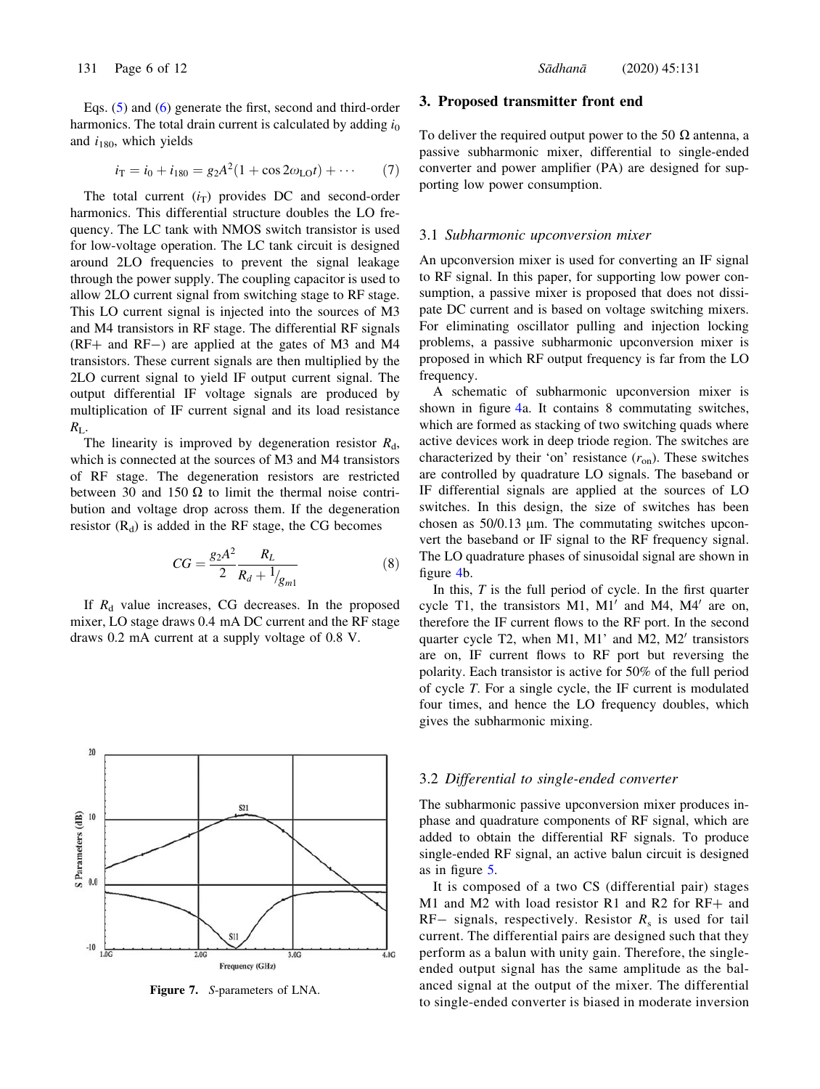Eqs. (5) and (6) generate the first, second and third-order harmonics. The total drain current is calculated by adding  $i_0$ and  $i_{180}$ , which yields

$$
i_{\rm T} = i_0 + i_{180} = g_2 A^2 (1 + \cos 2\omega_{\rm LO} t) + \cdots
$$
 (7)

The total current  $(i_T)$  provides DC and second-order harmonics. This differential structure doubles the LO frequency. The LC tank with NMOS switch transistor is used for low-voltage operation. The LC tank circuit is designed around 2LO frequencies to prevent the signal leakage through the power supply. The coupling capacitor is used to allow 2LO current signal from switching stage to RF stage. This LO current signal is injected into the sources of M3 and M4 transistors in RF stage. The differential RF signals  $(RF+$  and  $RF-)$  are applied at the gates of M3 and M4 transistors. These current signals are then multiplied by the 2LO current signal to yield IF output current signal. The output differential IF voltage signals are produced by multiplication of IF current signal and its load resistance  $R_{\rm L}$ .

The linearity is improved by degeneration resistor  $R_d$ , which is connected at the sources of M3 and M4 transistors of RF stage. The degeneration resistors are restricted between 30 and 150  $\Omega$  to limit the thermal noise contribution and voltage drop across them. If the degeneration resistor  $(R_d)$  is added in the RF stage, the CG becomes

$$
CG = \frac{g_2 A^2}{2} \frac{R_L}{R_d + 1/_{g_{m1}}}
$$
(8)

If  $R_d$  value increases, CG decreases. In the proposed mixer, LO stage draws 0.4 mA DC current and the RF stage draws 0.2 mA current at a supply voltage of 0.8 V.



Figure 7. S-parameters of LNA.

### 3. Proposed transmitter front end

To deliver the required output power to the 50  $\Omega$  antenna, a passive subharmonic mixer, differential to single-ended converter and power amplifier (PA) are designed for supporting low power consumption.

#### 3.1 Subharmonic upconversion mixer

An upconversion mixer is used for converting an IF signal to RF signal. In this paper, for supporting low power consumption, a passive mixer is proposed that does not dissipate DC current and is based on voltage switching mixers. For eliminating oscillator pulling and injection locking problems, a passive subharmonic upconversion mixer is proposed in which RF output frequency is far from the LO frequency.

A schematic of subharmonic upconversion mixer is shown in figure 4a. It contains 8 commutating switches, which are formed as stacking of two switching quads where active devices work in deep triode region. The switches are characterized by their 'on' resistance  $(r_{\text{on}})$ . These switches are controlled by quadrature LO signals. The baseband or IF differential signals are applied at the sources of LO switches. In this design, the size of switches has been chosen as  $50/0.13$  µm. The commutating switches upconvert the baseband or IF signal to the RF frequency signal. The LO quadrature phases of sinusoidal signal are shown in figure 4b.

In this,  $T$  is the full period of cycle. In the first quarter cycle T1, the transistors M1,  $M1'$  and M4,  $M4'$  are on, therefore the IF current flows to the RF port. In the second quarter cycle T2, when M1, M1' and M2, M2' transistors are on, IF current flows to RF port but reversing the polarity. Each transistor is active for 50% of the full period of cycle T. For a single cycle, the IF current is modulated four times, and hence the LO frequency doubles, which gives the subharmonic mixing.

# 3.2 Differential to single-ended converter

The subharmonic passive upconversion mixer produces inphase and quadrature components of RF signal, which are added to obtain the differential RF signals. To produce single-ended RF signal, an active balun circuit is designed as in figure 5.

It is composed of a two CS (differential pair) stages M1 and M2 with load resistor R1 and R2 for  $RF+$  and  $RF-$  signals, respectively. Resistor  $R<sub>s</sub>$  is used for tail current. The differential pairs are designed such that they perform as a balun with unity gain. Therefore, the singleended output signal has the same amplitude as the balanced signal at the output of the mixer. The differential to single-ended converter is biased in moderate inversion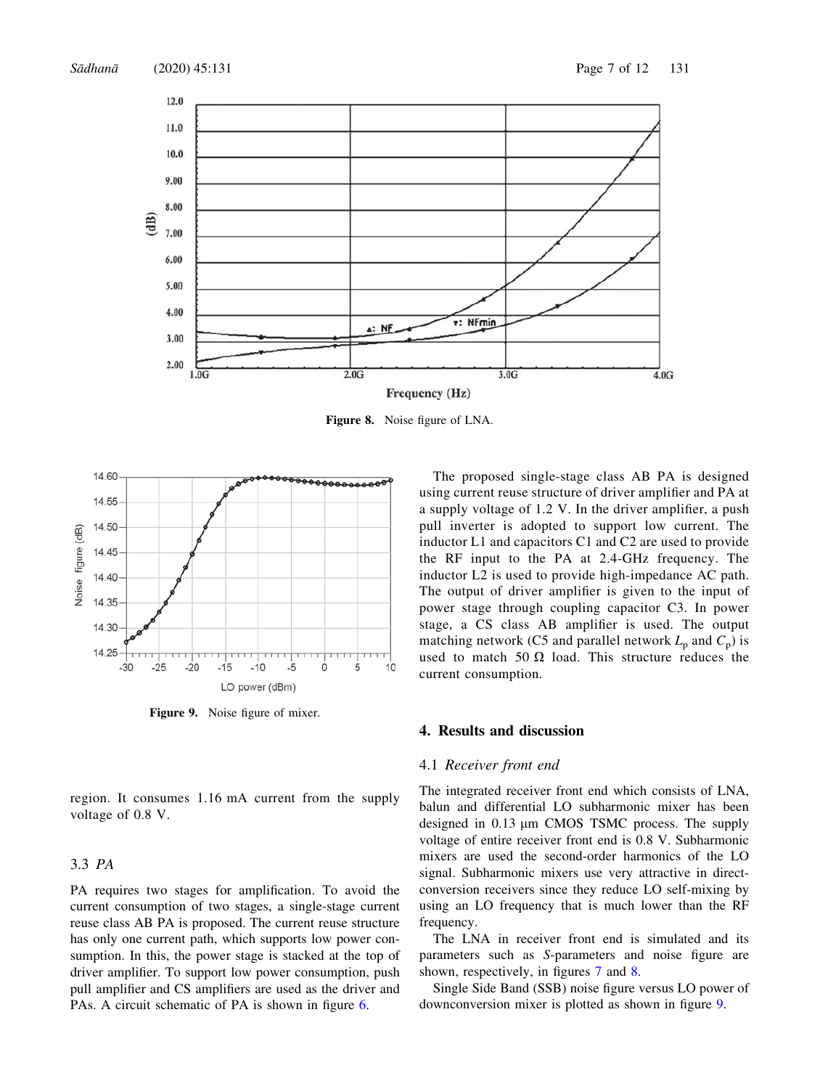

Figure 8. Noise figure of LNA.



Figure 9. Noise figure of mixer.

region. It consumes 1.16 mA current from the supply voltage of 0.8 V.

# 3.3 PA

PA requires two stages for amplification. To avoid the current consumption of two stages, a single-stage current reuse class AB PA is proposed. The current reuse structure has only one current path, which supports low power consumption. In this, the power stage is stacked at the top of driver amplifier. To support low power consumption, push pull amplifier and CS amplifiers are used as the driver and PAs. A circuit schematic of PA is shown in figure 6.

The proposed single-stage class AB PA is designed using current reuse structure of driver amplifier and PA at a supply voltage of 1.2 V. In the driver amplifier, a push pull inverter is adopted to support low current. The inductor L1 and capacitors C1 and C2 are used to provide the RF input to the PA at 2.4-GHz frequency. The inductor L2 is used to provide high-impedance AC path. The output of driver amplifier is given to the input of power stage through coupling capacitor C3. In power stage, a CS class AB amplifier is used. The output matching network (C5 and parallel network  $L_p$  and  $C_p$ ) is used to match 50  $\Omega$  load. This structure reduces the current consumption.

# 4. Results and discussion

#### 4.1 Receiver front end

The integrated receiver front end which consists of LNA, balun and differential LO subharmonic mixer has been designed in  $0.13 \mu m$  CMOS TSMC process. The supply voltage of entire receiver front end is 0.8 V. Subharmonic mixers are used the second-order harmonics of the LO signal. Subharmonic mixers use very attractive in directconversion receivers since they reduce LO self-mixing by using an LO frequency that is much lower than the RF frequency.

The LNA in receiver front end is simulated and its parameters such as S-parameters and noise figure are shown, respectively, in figures 7 and 8.

Single Side Band (SSB) noise figure versus LO power of downconversion mixer is plotted as shown in figure 9.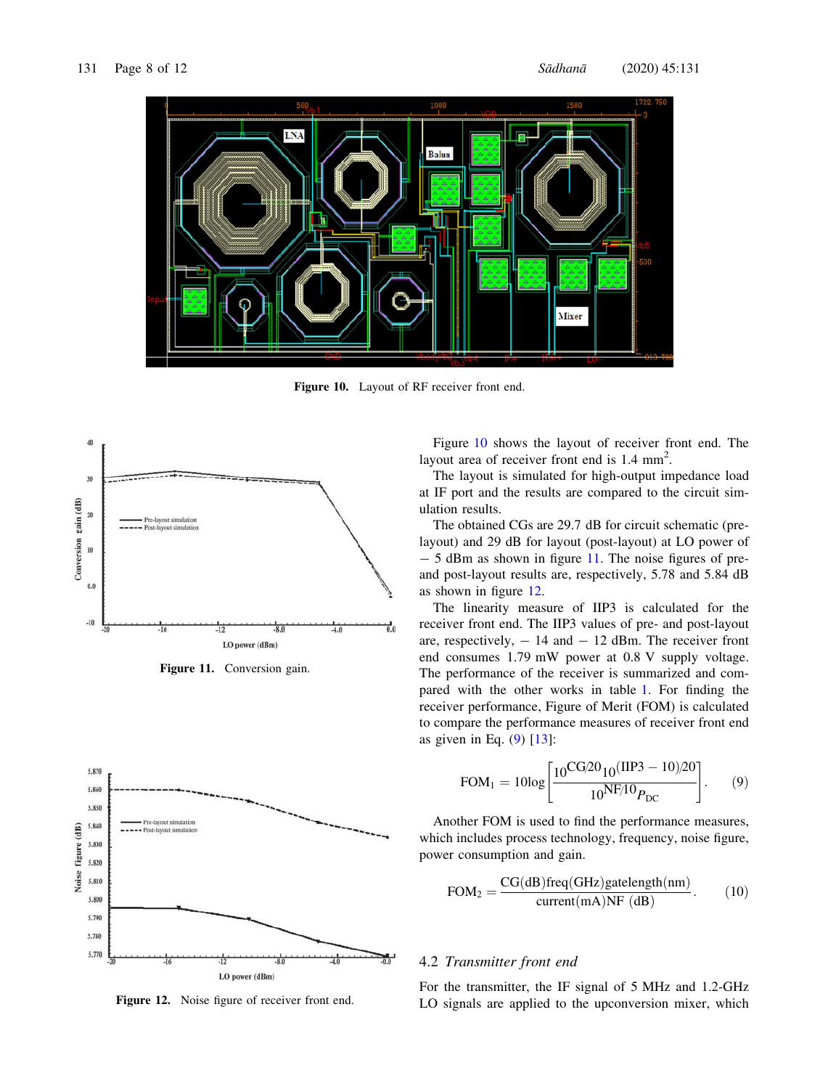

Figure 10. Layout of RF receiver front end.



Figure 11. Conversion gain.



Figure 12. Noise figure of receiver front end.

Figure 10 shows the layout of receiver front end. The layout area of receiver front end is 1.4 mm<sup>2</sup>.

The layout is simulated for high-output impedance load at IF port and the results are compared to the circuit simulation results.

The obtained CGs are 29.7 dB for circuit schematic (prelayout) and 29 dB for layout (post-layout) at LO power of  $-5$  dBm as shown in figure 11. The noise figures of preand post-layout results are, respectively, 5.78 and 5.84 dB as shown in figure 12.

The linearity measure of IIP3 is calculated for the receiver front end. The IIP3 values of pre- and post-layout are, respectively,  $-14$  and  $-12$  dBm. The receiver front end consumes 1.79 mW power at 0.8 V supply voltage. The performance of the receiver is summarized and compared with the other works in table 1. For finding the receiver performance, Figure of Merit (FOM) is calculated to compare the performance measures of receiver front end as given in Eq.  $(9)$  [13]:

$$
FOM_1 = 10\log\left[\frac{10^{CG/20}10^{(HP3 - 10)/20}}{10^{NF/10}P_{DC}}\right].
$$
 (9)

Another FOM is used to find the performance measures, which includes process technology, frequency, noise figure, power consumption and gain.

$$
FOM2 = \frac{CG(dB)freq(GHz) gatelength(nm)}{current(mA)NF (dB)}.
$$
 (10)

# 4.2 Transmitter front end

For the transmitter, the IF signal of 5 MHz and 1.2-GHz LO signals are applied to the upconversion mixer, which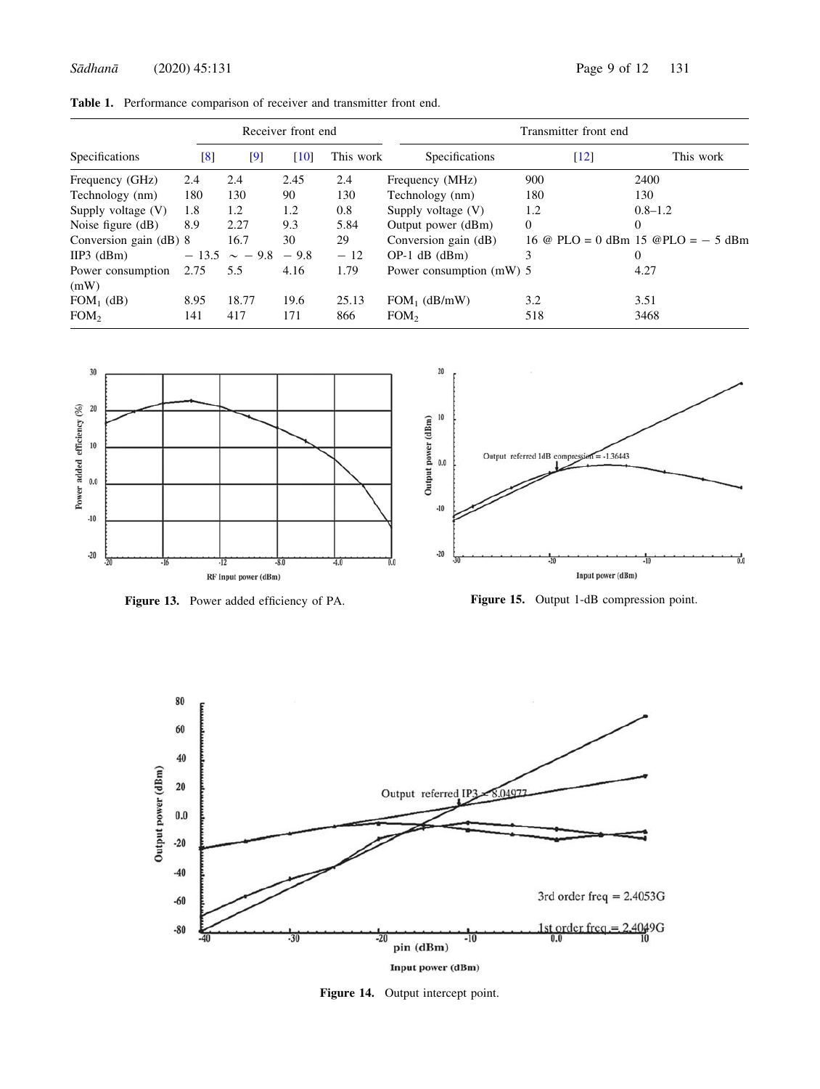Sādhanā (2020) 45:131 Page 9 of 12 131

|                           | Receiver front end |                         |      |           | Transmitter front end    |                    |                                      |
|---------------------------|--------------------|-------------------------|------|-----------|--------------------------|--------------------|--------------------------------------|
| Specifications            | [8]                | $\lbrack 9 \rbrack$     | [10] | This work | Specifications           | $\lceil 12 \rceil$ | This work                            |
| Frequency (GHz)           | 2.4                | 2.4                     | 2.45 | 2.4       | Frequency (MHz)          | 900                | 2400                                 |
| Technology (nm)           | 180                | 130                     | 90   | 130       | Technology (nm)          | 180                | 130                                  |
| Supply voltage (V)        | 1.8                | 1.2                     | 1.2  | 0.8       | Supply voltage $(V)$     | 1.2                | $0.8 - 1.2$                          |
| Noise figure $(d)$        | 8.9                | 2.27                    | 9.3  | 5.84      | Output power (dBm)       | $\overline{0}$     | $\Omega$                             |
| Conversion gain (dB) 8    |                    | 16.7                    | 30   | 29        | Conversion gain (dB)     |                    | 16 @ PLO = 0 dBm 15 @PLO = $-$ 5 dBm |
| $HP3$ (dBm)               |                    | $-13.5 \sim -9.8 - 9.8$ |      | $-12$     | $OP-1$ dB (dBm)          | 3                  | $\overline{0}$                       |
| Power consumption<br>(mW) | 2.75               | 5.5                     | 4.16 | 1.79      | Power consumption (mW) 5 |                    | 4.27                                 |
| $FOM_1$ (dB)              | 8.95               | 18.77                   | 19.6 | 25.13     | $FOM_1$ (dB/mW)          | 3.2                | 3.51                                 |
| FOM <sub>2</sub>          | 141                | 417                     | 171  | 866       | FOM <sub>2</sub>         | 518                | 3468                                 |



Figure 13. Power added efficiency of PA.





Figure 14. Output intercept point.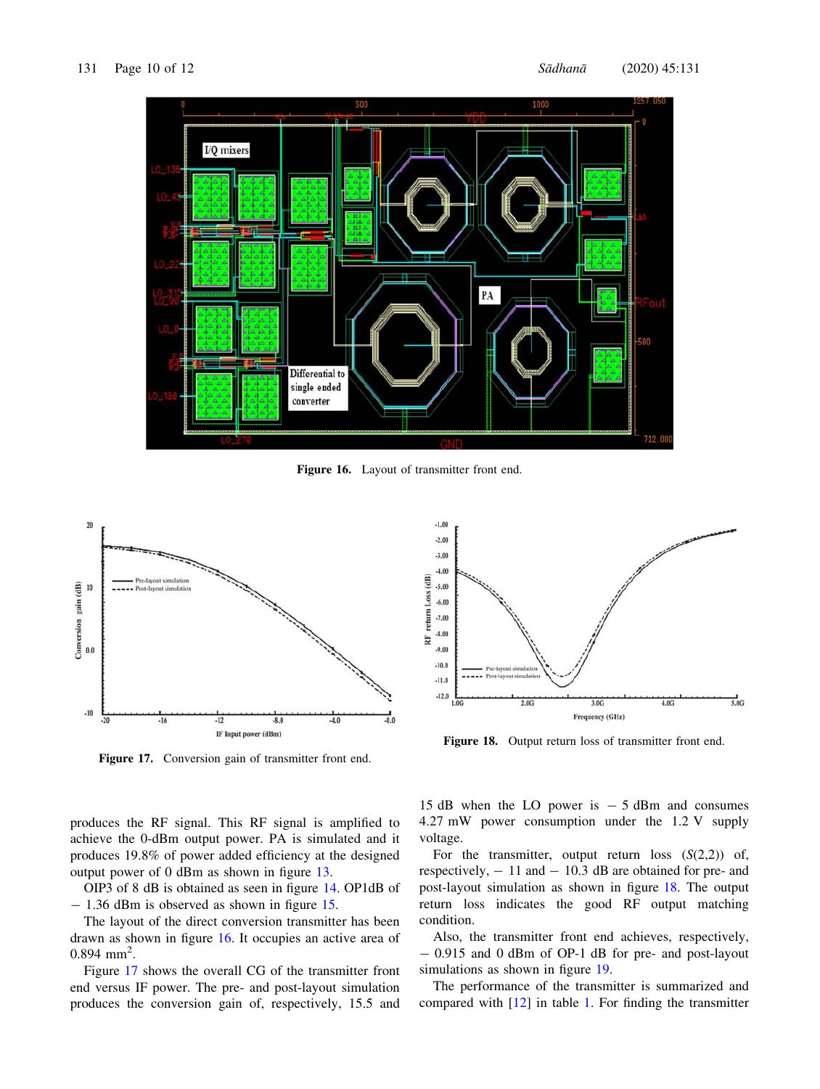

Figure 16. Layout of transmitter front end.



Figure 17. Conversion gain of transmitter front end.

produces the RF signal. This RF signal is amplified to achieve the 0-dBm output power. PA is simulated and it produces 19.8% of power added efficiency at the designed output power of 0 dBm as shown in figure 13.

OIP3 of 8 dB is obtained as seen in figure 14. OP1dB of  $- 1.36$  dBm is observed as shown in figure 15.

The layout of the direct conversion transmitter has been drawn as shown in figure 16. It occupies an active area of  $0.894$  mm<sup>2</sup>.

Figure 17 shows the overall CG of the transmitter front end versus IF power. The pre- and post-layout simulation produces the conversion gain of, respectively, 15.5 and



Figure 18. Output return loss of transmitter front end.

15 dB when the LO power is  $-5$  dBm and consumes 4.27 mW power consumption under the 1.2 V supply voltage.

For the transmitter, output return loss  $(S(2,2))$  of, respectively,  $-11$  and  $-10.3$  dB are obtained for pre- and post-layout simulation as shown in figure 18. The output return loss indicates the good RF output matching condition.

Also, the transmitter front end achieves, respectively, - 0.915 and 0 dBm of OP-1 dB for pre- and post-layout simulations as shown in figure 19.

The performance of the transmitter is summarized and compared with [12] in table 1. For finding the transmitter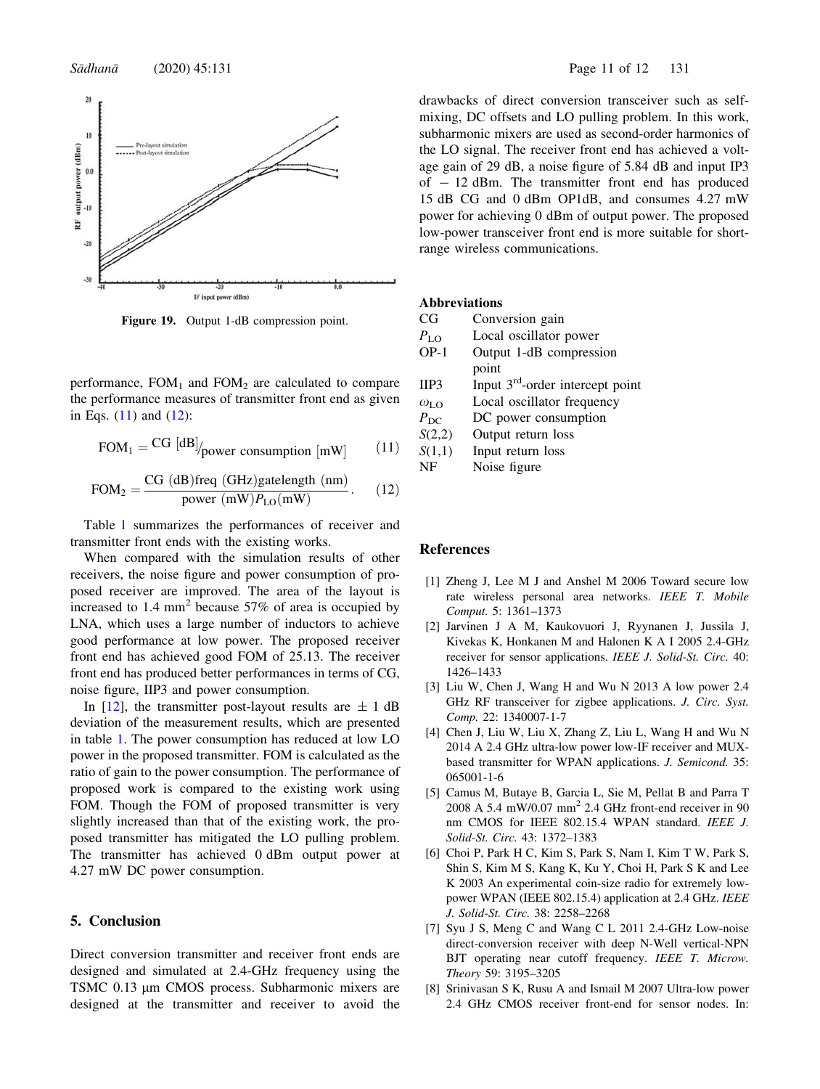

Figure 19. Output 1-dB compression point.

performance,  $FOM_1$  and  $FOM_2$  are calculated to compare the performance measures of transmitter front end as given in Eqs. (11) and (12):

$$
FOM1 = \frac{CG \, [dB]}{power consumption \, [mW]} \tag{11}
$$

$$
FOM2 = \frac{CG (dB)freq (GHz) gatelength (nm)}{power (mW)PLo(mW)}.
$$
 (12)

Table 1 summarizes the performances of receiver and transmitter front ends with the existing works.

When compared with the simulation results of other receivers, the noise figure and power consumption of proposed receiver are improved. The area of the layout is increased to 1.4  $mm<sup>2</sup>$  because 57% of area is occupied by LNA, which uses a large number of inductors to achieve good performance at low power. The proposed receiver front end has achieved good FOM of 25.13. The receiver front end has produced better performances in terms of CG, noise figure, IIP3 and power consumption.

In [12], the transmitter post-layout results are  $\pm$  1 dB deviation of the measurement results, which are presented in table 1. The power consumption has reduced at low LO power in the proposed transmitter. FOM is calculated as the ratio of gain to the power consumption. The performance of proposed work is compared to the existing work using FOM. Though the FOM of proposed transmitter is very slightly increased than that of the existing work, the proposed transmitter has mitigated the LO pulling problem. The transmitter has achieved 0 dBm output power at 4.27 mW DC power consumption.

# 5. Conclusion

Direct conversion transmitter and receiver front ends are designed and simulated at 2.4-GHz frequency using the TSMC 0.13 µm CMOS process. Subharmonic mixers are designed at the transmitter and receiver to avoid the drawbacks of direct conversion transceiver such as selfmixing, DC offsets and LO pulling problem. In this work, subharmonic mixers are used as second-order harmonics of the LO signal. The receiver front end has achieved a voltage gain of 29 dB, a noise figure of 5.84 dB and input IP3 of  $-12$  dBm. The transmitter front end has produced 15 dB CG and 0 dBm OP1dB, and consumes 4.27 mW power for achieving 0 dBm of output power. The proposed low-power transceiver front end is more suitable for shortrange wireless communications.

# Abbreviations

| CG | Conversion gain |  |
|----|-----------------|--|
|----|-----------------|--|

- 
- $P_{\text{LO}}$  Local oscillator power<br>OP-1 Output 1-dB compress Output 1-dB compression
- point IIP3 Input  $3<sup>rd</sup>$ -order intercept point
- $\omega_{\text{LO}}$  Local oscillator frequency
- $P_{\text{DC}}$  DC power consumption
- S(2,2) Output return loss
- $S(1,1)$  Input return loss
	- NF Noise figure

### References

- [1] Zheng J, Lee M J and Anshel M 2006 Toward secure low rate wireless personal area networks. IEEE T. Mobile Comput. 5: 1361–1373
- [2] Jarvinen J A M, Kaukovuori J, Ryynanen J, Jussila J, Kivekas K, Honkanen M and Halonen K A I 2005 2.4-GHz receiver for sensor applications. IEEE J. Solid-St. Circ. 40: 1426–1433
- [3] Liu W, Chen J, Wang H and Wu N 2013 A low power 2.4 GHz RF transceiver for zigbee applications. J. Circ. Syst. Comp. 22: 1340007-1-7
- [4] Chen J, Liu W, Liu X, Zhang Z, Liu L, Wang H and Wu N 2014 A 2.4 GHz ultra-low power low-IF receiver and MUXbased transmitter for WPAN applications. J. Semicond. 35: 065001-1-6
- [5] Camus M, Butaye B, Garcia L, Sie M, Pellat B and Parra T 2008 A 5.4 mW/0.07 mm<sup>2</sup> 2.4 GHz front-end receiver in 90 nm CMOS for IEEE 802.15.4 WPAN standard. IEEE J. Solid-St. Circ. 43: 1372–1383
- [6] Choi P, Park H C, Kim S, Park S, Nam I, Kim T W, Park S, Shin S, Kim M S, Kang K, Ku Y, Choi H, Park S K and Lee K 2003 An experimental coin-size radio for extremely lowpower WPAN (IEEE 802.15.4) application at 2.4 GHz. IEEE J. Solid-St. Circ. 38: 2258–2268
- [7] Syu J S, Meng C and Wang C L 2011 2.4-GHz Low-noise direct-conversion receiver with deep N-Well vertical-NPN BJT operating near cutoff frequency. IEEE T. Microw. Theory 59: 3195–3205
- [8] Srinivasan S K, Rusu A and Ismail M 2007 Ultra-low power 2.4 GHz CMOS receiver front-end for sensor nodes. In: